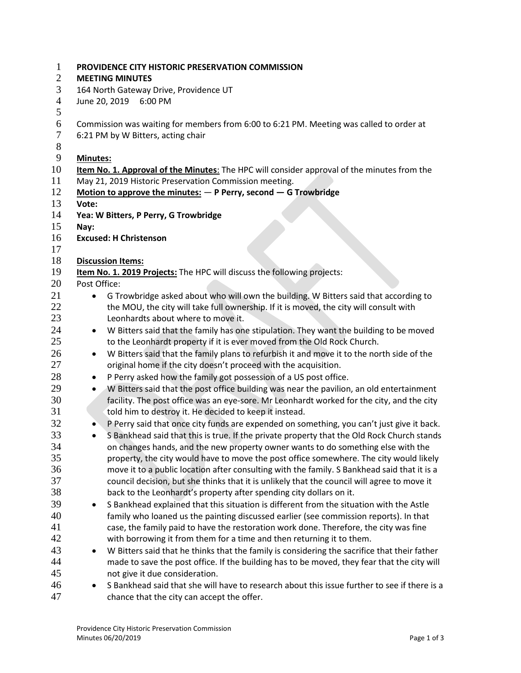| $\mathbf{1}$<br>2 | PROVIDENCE CITY HISTORIC PRESERVATION COMMISSION<br><b>MEETING MINUTES</b>                             |  |  |  |
|-------------------|--------------------------------------------------------------------------------------------------------|--|--|--|
| 3                 | 164 North Gateway Drive, Providence UT                                                                 |  |  |  |
| $\overline{4}$    | June 20, 2019<br>6:00 PM                                                                               |  |  |  |
| 5                 |                                                                                                        |  |  |  |
| 6                 | Commission was waiting for members from 6:00 to 6:21 PM. Meeting was called to order at                |  |  |  |
| 7                 | 6:21 PM by W Bitters, acting chair                                                                     |  |  |  |
| $8\,$             |                                                                                                        |  |  |  |
| 9                 | <b>Minutes:</b>                                                                                        |  |  |  |
| 10                | Item No. 1. Approval of the Minutes: The HPC will consider approval of the minutes from the            |  |  |  |
| 11                | May 21, 2019 Historic Preservation Commission meeting.                                                 |  |  |  |
| 12                | Motion to approve the minutes: $-$ P Perry, second $-$ G Trowbridge                                    |  |  |  |
| 13                | Vote:                                                                                                  |  |  |  |
| 14                | Yea: W Bitters, P Perry, G Trowbridge                                                                  |  |  |  |
| 15                | Nay:                                                                                                   |  |  |  |
| 16                | <b>Excused: H Christenson</b>                                                                          |  |  |  |
| 17                |                                                                                                        |  |  |  |
| 18                | <b>Discussion Items:</b>                                                                               |  |  |  |
| 19                | Item No. 1. 2019 Projects: The HPC will discuss the following projects:                                |  |  |  |
| 20                | Post Office:                                                                                           |  |  |  |
| 21                | G Trowbridge asked about who will own the building. W Bitters said that according to<br>$\bullet$      |  |  |  |
| 22                | the MOU, the city will take full ownership. If it is moved, the city will consult with                 |  |  |  |
| 23                | Leonhardts about where to move it.                                                                     |  |  |  |
| 24                | W Bitters said that the family has one stipulation. They want the building to be moved<br>٠            |  |  |  |
| 25                | to the Leonhardt property if it is ever moved from the Old Rock Church.                                |  |  |  |
| 26                | W Bitters said that the family plans to refurbish it and move it to the north side of the<br>$\bullet$ |  |  |  |
| 27                | original home if the city doesn't proceed with the acquisition.                                        |  |  |  |
| 28                | P Perry asked how the family got possession of a US post office.<br>٠                                  |  |  |  |
| 29                | W Bitters said that the post office building was near the pavilion, an old entertainment<br>$\bullet$  |  |  |  |
| 30                | facility. The post office was an eye-sore. Mr Leonhardt worked for the city, and the city              |  |  |  |
| 31                | told him to destroy it. He decided to keep it instead.                                                 |  |  |  |
| 32                | P Perry said that once city funds are expended on something, you can't just give it back.              |  |  |  |
| 33                | S Bankhead said that this is true. If the private property that the Old Rock Church stands             |  |  |  |
| 34                | on changes hands, and the new property owner wants to do something else with the                       |  |  |  |
| 35                | property, the city would have to move the post office somewhere. The city would likely                 |  |  |  |
| 36                | move it to a public location after consulting with the family. S Bankhead said that it is a            |  |  |  |
| 37                | council decision, but she thinks that it is unlikely that the council will agree to move it            |  |  |  |
| 38                | back to the Leonhardt's property after spending city dollars on it.                                    |  |  |  |
| 39                | S Bankhead explained that this situation is different from the situation with the Astle<br>٠           |  |  |  |
| 40                | family who loaned us the painting discussed earlier (see commission reports). In that                  |  |  |  |
| 41                | case, the family paid to have the restoration work done. Therefore, the city was fine                  |  |  |  |
| 42                | with borrowing it from them for a time and then returning it to them.                                  |  |  |  |
| 43                | W Bitters said that he thinks that the family is considering the sacrifice that their father<br>٠      |  |  |  |
| 44                | made to save the post office. If the building has to be moved, they fear that the city will            |  |  |  |
| 45                | not give it due consideration.                                                                         |  |  |  |
| 46                | S Bankhead said that she will have to research about this issue further to see if there is a<br>٠      |  |  |  |
| 47                | chance that the city can accept the offer.                                                             |  |  |  |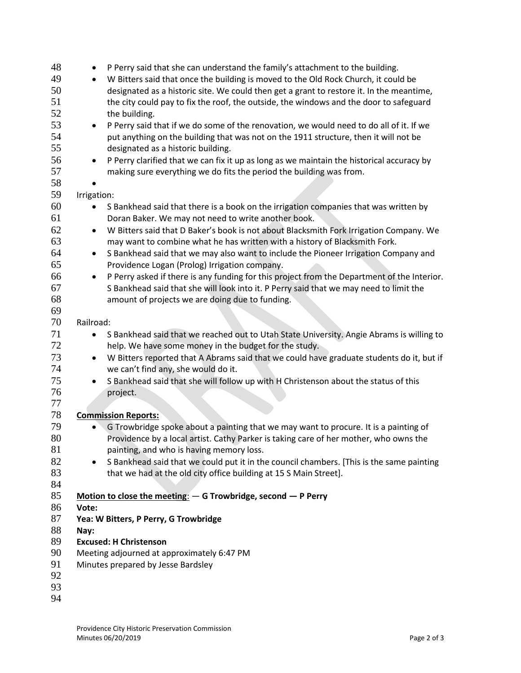| 48 | P Perry said that she can understand the family's attachment to the building.<br>٠                       |  |  |
|----|----------------------------------------------------------------------------------------------------------|--|--|
| 49 | W Bitters said that once the building is moved to the Old Rock Church, it could be<br>$\bullet$          |  |  |
| 50 | designated as a historic site. We could then get a grant to restore it. In the meantime,                 |  |  |
| 51 | the city could pay to fix the roof, the outside, the windows and the door to safeguard                   |  |  |
| 52 | the building.                                                                                            |  |  |
| 53 | P Perry said that if we do some of the renovation, we would need to do all of it. If we<br>$\bullet$     |  |  |
| 54 | put anything on the building that was not on the 1911 structure, then it will not be                     |  |  |
| 55 | designated as a historic building.                                                                       |  |  |
| 56 | P Perry clarified that we can fix it up as long as we maintain the historical accuracy by<br>$\bullet$   |  |  |
| 57 | making sure everything we do fits the period the building was from.                                      |  |  |
| 58 |                                                                                                          |  |  |
| 59 | Irrigation:                                                                                              |  |  |
| 60 | S Bankhead said that there is a book on the irrigation companies that was written by                     |  |  |
| 61 | $\bullet$<br>Doran Baker. We may not need to write another book.                                         |  |  |
| 62 | W Bitters said that D Baker's book is not about Blacksmith Fork Irrigation Company. We<br>$\bullet$      |  |  |
| 63 | may want to combine what he has written with a history of Blacksmith Fork.                               |  |  |
| 64 | S Bankhead said that we may also want to include the Pioneer Irrigation Company and<br>$\bullet$         |  |  |
| 65 | Providence Logan (Prolog) Irrigation company.                                                            |  |  |
| 66 | P Perry asked if there is any funding for this project from the Department of the Interior.<br>$\bullet$ |  |  |
| 67 | S Bankhead said that she will look into it. P Perry said that we may need to limit the                   |  |  |
| 68 | amount of projects we are doing due to funding.                                                          |  |  |
| 69 |                                                                                                          |  |  |
| 70 | Railroad:                                                                                                |  |  |
| 71 | S Bankhead said that we reached out to Utah State University. Angie Abrams is willing to<br>$\bullet$    |  |  |
| 72 | help. We have some money in the budget for the study.                                                    |  |  |
| 73 | W Bitters reported that A Abrams said that we could have graduate students do it, but if<br>$\bullet$    |  |  |
| 74 | we can't find any, she would do it.                                                                      |  |  |
| 75 | S Bankhead said that she will follow up with H Christenson about the status of this<br>$\bullet$         |  |  |
| 76 | project.                                                                                                 |  |  |
| 77 |                                                                                                          |  |  |
| 78 | <b>Commission Reports:</b>                                                                               |  |  |
| 79 | G Trowbridge spoke about a painting that we may want to procure. It is a painting of                     |  |  |
| 80 | Providence by a local artist. Cathy Parker is taking care of her mother, who owns the                    |  |  |
| 81 | painting, and who is having memory loss.                                                                 |  |  |
| 82 | S Bankhead said that we could put it in the council chambers. [This is the same painting<br>$\bullet$    |  |  |
| 83 | that we had at the old city office building at 15 S Main Street].                                        |  |  |
| 84 |                                                                                                          |  |  |
| 85 | Motion to close the meeting: $-$ G Trowbridge, second $-$ P Perry                                        |  |  |
| 86 | Vote:                                                                                                    |  |  |
| 87 | Yea: W Bitters, P Perry, G Trowbridge                                                                    |  |  |
| 88 | Nay:                                                                                                     |  |  |
| 89 | <b>Excused: H Christenson</b>                                                                            |  |  |
| 90 | Meeting adjourned at approximately 6:47 PM                                                               |  |  |
| 91 | Minutes prepared by Jesse Bardsley                                                                       |  |  |
| 92 |                                                                                                          |  |  |
| 93 |                                                                                                          |  |  |
| 94 |                                                                                                          |  |  |
|    |                                                                                                          |  |  |